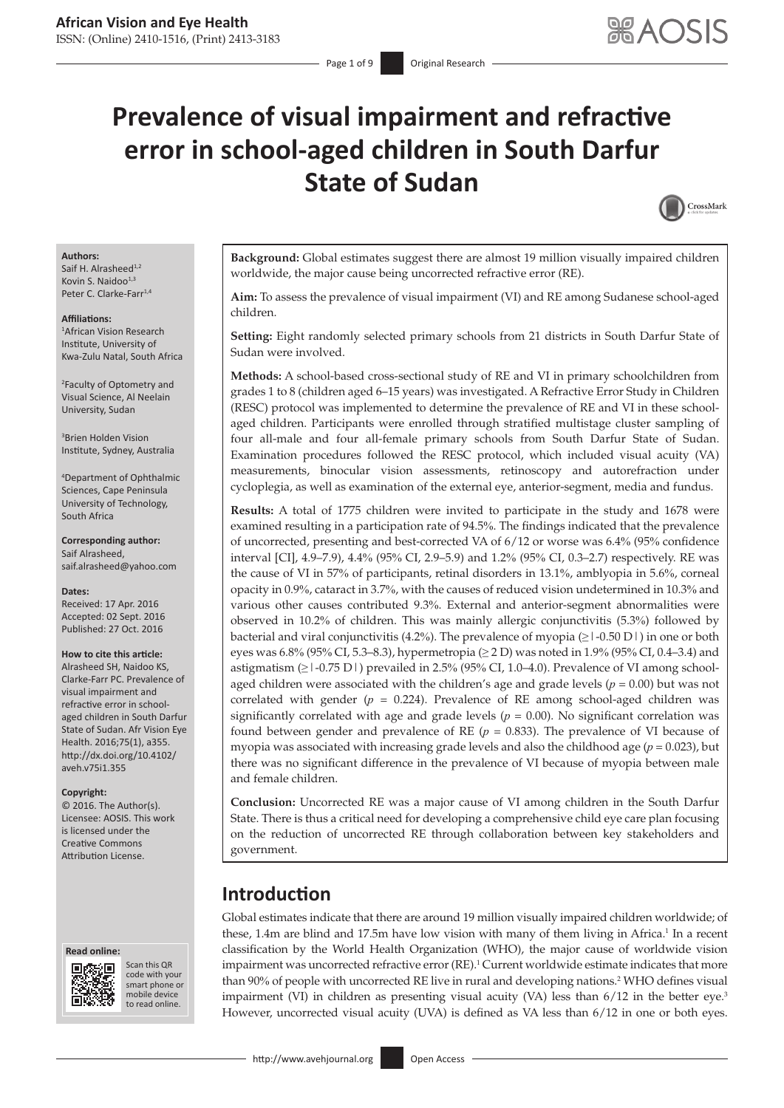# **Prevalence of visual impairment and refractive error in school-aged children in South Darfur State of Sudan**



#### **Authors:**

Saif H. Alrasheed $^{1,2}$ Kovin S. Naidoo<sup>1,3</sup> Peter C. Clarke-Farr<sup>1,4</sup>

#### **Affiliations:**

1 African Vision Research Institute, University of Kwa-Zulu Natal, South Africa

2 Faculty of Optometry and Visual Science, Al Neelain University, Sudan

3 Brien Holden Vision Institute, Sydney, Australia

4 Department of Ophthalmic Sciences, Cape Peninsula University of Technology, South Africa

**Corresponding author:** Saif Alrasheed, [saif.alrasheed@yahoo.com](mailto:saif.alrasheed@yahoo.com)

**Dates:** Received: 17 Apr. 2016 Accepted: 02 Sept. 2016 Published: 27 Oct. 2016

#### **How to cite this article:**

Alrasheed SH, Naidoo KS, Clarke-Farr PC. Prevalence of visual impairment and refractive error in schoolaged children in South Darfur State of Sudan. Afr Vision Eye Health. 2016;75(1), a355. [http://dx.doi.org/10.4102/](http://dx.doi.org/10.4102/aveh.v75i1.355) [aveh.v75i1.355](http://dx.doi.org/10.4102/aveh.v75i1.355)

#### **Copyright:**

© 2016. The Author(s). Licensee: AOSIS. This work is licensed under the Creative Commons Attribution License.





Scan this QR code with your Scan this QR<br>code with your<br>smart phone or<br>mobile device mobile device to read online. to read online.

**Background:** Global estimates suggest there are almost 19 million visually impaired children worldwide, the major cause being uncorrected refractive error (RE).

**Aim:** To assess the prevalence of visual impairment (VI) and RE among Sudanese school-aged children.

**Setting:** Eight randomly selected primary schools from 21 districts in South Darfur State of Sudan were involved.

**Methods:** A school-based cross-sectional study of RE and VI in primary schoolchildren from grades 1 to 8 (children aged 6–15 years) was investigated. A Refractive Error Study in Children (RESC) protocol was implemented to determine the prevalence of RE and VI in these schoolaged children. Participants were enrolled through stratified multistage cluster sampling of four all-male and four all-female primary schools from South Darfur State of Sudan. Examination procedures followed the RESC protocol, which included visual acuity (VA) measurements, binocular vision assessments, retinoscopy and autorefraction under cycloplegia, as well as examination of the external eye, anterior-segment, media and fundus.

**Results:** A total of 1775 children were invited to participate in the study and 1678 were examined resulting in a participation rate of 94.5%. The findings indicated that the prevalence of uncorrected, presenting and best-corrected VA of 6/12 or worse was 6.4% (95% confidence interval [CI], 4.9–7.9), 4.4% (95% CI, 2.9–5.9) and 1.2% (95% CI, 0.3–2.7) respectively. RE was the cause of VI in 57% of participants, retinal disorders in 13.1%, amblyopia in 5.6%, corneal opacity in 0.9%, cataract in 3.7%, with the causes of reduced vision undetermined in 10.3% and various other causes contributed 9.3%. External and anterior-segment abnormalities were observed in 10.2% of children. This was mainly allergic conjunctivitis (5.3%) followed by bacterial and viral conjunctivitis (4.2%). The prevalence of myopia  $(\geq 1$ -0.50 D | ) in one or both eyes was 6.8% (95% CI, 5.3–8.3), hypermetropia ( $\geq$  2 D) was noted in 1.9% (95% CI, 0.4–3.4) and astigmatism  $(\geq$  1-0.75 D  $)$  prevailed in 2.5% (95% CI, 1.0–4.0). Prevalence of VI among schoolaged children were associated with the children's age and grade levels ( $p = 0.00$ ) but was not correlated with gender  $(p = 0.224)$ . Prevalence of RE among school-aged children was significantly correlated with age and grade levels ( $p = 0.00$ ). No significant correlation was found between gender and prevalence of RE  $(p = 0.833)$ . The prevalence of VI because of myopia was associated with increasing grade levels and also the childhood age (*p* = 0.023), but there was no significant difference in the prevalence of VI because of myopia between male and female children.

**Conclusion:** Uncorrected RE was a major cause of VI among children in the South Darfur State. There is thus a critical need for developing a comprehensive child eye care plan focusing on the reduction of uncorrected RE through collaboration between key stakeholders and government.

# **Introduction**

Global estimates indicate that there are around 19 million visually impaired children worldwide; of these, 1.4m are blind and 17.5m have low vision with many of them living in Africa.<sup>1</sup> In a recent classification by the World Health Organization (WHO), the major cause of worldwide vision impairment was uncorrected refractive error (RE).<sup>1</sup> Current worldwide estimate indicates that more than 90% of people with uncorrected RE live in rural and developing nations.<sup>2</sup> WHO defines visual impairment (VI) in children as presenting visual acuity (VA) less than  $6/12$  in the better eye.<sup>3</sup> However, uncorrected visual acuity (UVA) is defined as VA less than 6/12 in one or both eyes.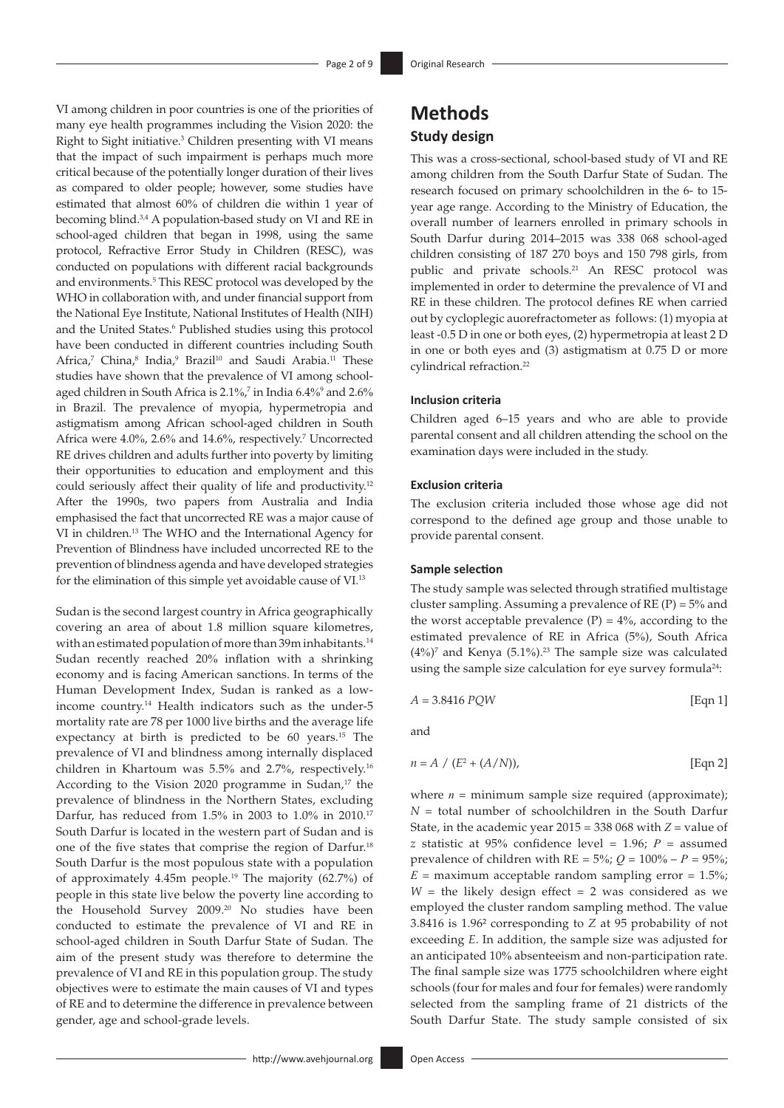VI among children in poor countries is one of the priorities of many eye health programmes including the Vision 2020: the Right to Sight initiative.3 Children presenting with VI means that the impact of such impairment is perhaps much more critical because of the potentially longer duration of their lives as compared to older people; however, some studies have estimated that almost 60% of children die within 1 year of becoming blind.3,4 A population-based study on VI and RE in school-aged children that began in 1998, using the same protocol, Refractive Error Study in Children (RESC), was conducted on populations with different racial backgrounds and environments.<sup>5</sup> This RESC protocol was developed by the WHO in collaboration with, and under financial support from the National Eye Institute, National Institutes of Health (NIH) and the United States.<sup>6</sup> Published studies using this protocol have been conducted in different countries including South Africa,<sup>7</sup> China,<sup>8</sup> India,<sup>9</sup> Brazil<sup>10</sup> and Saudi Arabia.<sup>11</sup> These studies have shown that the prevalence of VI among schoolaged children in South Africa is 2.1%, 7 in India 6.4%<sup>9</sup> and 2.6% in Brazil. The prevalence of myopia, hypermetropia and astigmatism among African school-aged children in South Africa were 4.0%, 2.6% and 14.6%, respectively.<sup>7</sup> Uncorrected RE drives children and adults further into poverty by limiting their opportunities to education and employment and this could seriously affect their quality of life and productivity.12 After the 1990s, two papers from Australia and India emphasised the fact that uncorrected RE was a major cause of VI in children.13 The WHO and the International Agency for Prevention of Blindness have included uncorrected RE to the prevention of blindness agenda and have developed strategies for the elimination of this simple yet avoidable cause of VI.13

Sudan is the second largest country in Africa geographically covering an area of about 1.8 million square kilometres, with an estimated population of more than 39m inhabitants.14 Sudan recently reached 20% inflation with a shrinking economy and is facing American sanctions. In terms of the Human Development Index, Sudan is ranked as a lowincome country.14 Health indicators such as the under-5 mortality rate are 78 per 1000 live births and the average life expectancy at birth is predicted to be 60 years.15 The prevalence of VI and blindness among internally displaced children in Khartoum was 5.5% and 2.7%, respectively.16 According to the Vision 2020 programme in Sudan,<sup>17</sup> the prevalence of blindness in the Northern States, excluding Darfur, has reduced from 1.5% in 2003 to 1.0% in 2010.17 South Darfur is located in the western part of Sudan and is one of the five states that comprise the region of Darfur.18 South Darfur is the most populous state with a population of approximately 4.45m people.19 The majority (62.7%) of people in this state live below the poverty line according to the Household Survey 2009.<sup>20</sup> No studies have been conducted to estimate the prevalence of VI and RE in school-aged children in South Darfur State of Sudan. The aim of the present study was therefore to determine the prevalence of VI and RE in this population group. The study objectives were to estimate the main causes of VI and types of RE and to determine the difference in prevalence between gender, age and school-grade levels.

# **Methods Study design**

This was a cross-sectional, school-based study of VI and RE among children from the South Darfur State of Sudan. The research focused on primary schoolchildren in the 6- to 15 year age range. According to the Ministry of Education, the overall number of learners enrolled in primary schools in South Darfur during 2014–2015 was 338 068 school-aged children consisting of 187 270 boys and 150 798 girls, from public and private schools.21 An RESC protocol was implemented in order to determine the prevalence of VI and RE in these children. The protocol defines RE when carried out by cycloplegic auorefractometer as follows: (1) myopia at least -0.5 D in one or both eyes, (2) hypermetropia at least 2 D in one or both eyes and (3) astigmatism at 0.75 D or more cylindrical refraction.22

#### **Inclusion criteria**

Children aged 6–15 years and who are able to provide parental consent and all children attending the school on the examination days were included in the study.

### **Exclusion criteria**

The exclusion criteria included those whose age did not correspond to the defined age group and those unable to provide parental consent.

#### **Sample selection**

The study sample was selected through stratified multistage cluster sampling. Assuming a prevalence of  $RE(P) = 5\%$  and the worst acceptable prevalence  $(P) = 4\%$ , according to the estimated prevalence of RE in Africa (5%), South Africa  $(4\%)^7$  and Kenya  $(5.1\%)$ .<sup>23</sup> The sample size was calculated using the sample size calculation for eye survey formula<sup>24</sup>:

$$
A = 3.8416 \, PQW \qquad \qquad \text{[Eqn 1]}
$$

and

$$
n = A / (E^2 + (A/N)),
$$
 [Eqn 2]

where  $n =$  minimum sample size required (approximate); *N* = total number of schoolchildren in the South Darfur State, in the academic year 2015 = 338 068 with *Z* = value of *z* statistic at 95% confidence level = 1.96; *P* = assumed prevalence of children with  $RE = 5\%$ ;  $Q = 100\% - P = 95\%$ ;  $E =$  maximum acceptable random sampling error  $= 1.5\%$ ;  $W =$  the likely design effect  $= 2$  was considered as we employed the cluster random sampling method. The value 3.8416 is 1.96² corresponding to *Z* at 95 probability of not exceeding *E*. In addition, the sample size was adjusted for an anticipated 10% absenteeism and non-participation rate. The final sample size was 1775 schoolchildren where eight schools (four for males and four for females) were randomly selected from the sampling frame of 21 districts of the South Darfur State. The study sample consisted of six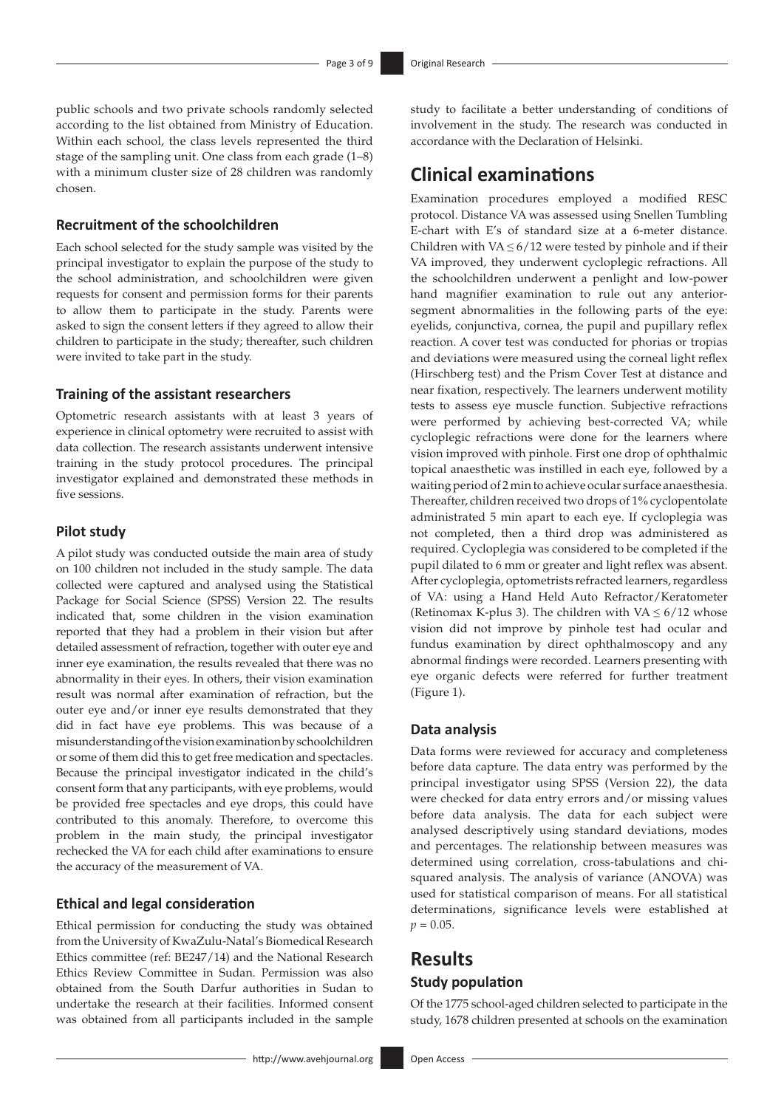public schools and two private schools randomly selected according to the list obtained from Ministry of Education. Within each school, the class levels represented the third stage of the sampling unit. One class from each grade (1–8) with a minimum cluster size of 28 children was randomly chosen.

# **Recruitment of the schoolchildren**

Each school selected for the study sample was visited by the principal investigator to explain the purpose of the study to the school administration, and schoolchildren were given requests for consent and permission forms for their parents to allow them to participate in the study. Parents were asked to sign the consent letters if they agreed to allow their children to participate in the study; thereafter, such children were invited to take part in the study.

# **Training of the assistant researchers**

Optometric research assistants with at least 3 years of experience in clinical optometry were recruited to assist with data collection. The research assistants underwent intensive training in the study protocol procedures. The principal investigator explained and demonstrated these methods in five sessions.

### **Pilot study**

A pilot study was conducted outside the main area of study on 100 children not included in the study sample. The data collected were captured and analysed using the Statistical Package for Social Science (SPSS) Version 22. The results indicated that, some children in the vision examination reported that they had a problem in their vision but after detailed assessment of refraction, together with outer eye and inner eye examination, the results revealed that there was no abnormality in their eyes. In others, their vision examination result was normal after examination of refraction, but the outer eye and/or inner eye results demonstrated that they did in fact have eye problems. This was because of a misunderstanding of the vision examination by schoolchildren or some of them did this to get free medication and spectacles. Because the principal investigator indicated in the child's consent form that any participants, with eye problems, would be provided free spectacles and eye drops, this could have contributed to this anomaly. Therefore, to overcome this problem in the main study, the principal investigator rechecked the VA for each child after examinations to ensure the accuracy of the measurement of VA.

# **Ethical and legal consideration**

Ethical permission for conducting the study was obtained from the University of KwaZulu-Natal's Biomedical Research Ethics committee (ref: BE247/14) and the National Research Ethics Review Committee in Sudan. Permission was also obtained from the South Darfur authorities in Sudan to undertake the research at their facilities. Informed consent was obtained from all participants included in the sample

study to facilitate a better understanding of conditions of involvement in the study. The research was conducted in accordance with the Declaration of Helsinki.

# **Clinical examinations**

Examination procedures employed a modified RESC protocol. Distance VA was assessed using Snellen Tumbling E-chart with E's of standard size at a 6-meter distance. Children with VA  $\leq 6/12$  were tested by pinhole and if their VA improved, they underwent cycloplegic refractions. All the schoolchildren underwent a penlight and low-power hand magnifier examination to rule out any anteriorsegment abnormalities in the following parts of the eye: eyelids, conjunctiva, cornea, the pupil and pupillary reflex reaction. A cover test was conducted for phorias or tropias and deviations were measured using the corneal light reflex (Hirschberg test) and the Prism Cover Test at distance and near fixation, respectively. The learners underwent motility tests to assess eye muscle function. Subjective refractions were performed by achieving best-corrected VA; while cycloplegic refractions were done for the learners where vision improved with pinhole. First one drop of ophthalmic topical anaesthetic was instilled in each eye, followed by a waiting period of 2 min to achieve ocular surface anaesthesia. Thereafter, children received two drops of 1% cyclopentolate administrated 5 min apart to each eye. If cycloplegia was not completed, then a third drop was administered as required. Cycloplegia was considered to be completed if the pupil dilated to 6 mm or greater and light reflex was absent. After cycloplegia, optometrists refracted learners, regardless of VA: using a Hand Held Auto Refractor/Keratometer (Retinomax K-plus 3). The children with VA  $\leq 6/12$  whose vision did not improve by pinhole test had ocular and fundus examination by direct ophthalmoscopy and any abnormal findings were recorded. Learners presenting with eye organic defects were referred for further treatment (Figure 1).

### **Data analysis**

Data forms were reviewed for accuracy and completeness before data capture. The data entry was performed by the principal investigator using SPSS (Version 22), the data were checked for data entry errors and/or missing values before data analysis. The data for each subject were analysed descriptively using standard deviations, modes and percentages. The relationship between measures was determined using correlation, cross-tabulations and chisquared analysis. The analysis of variance (ANOVA) was used for statistical comparison of means. For all statistical determinations, significance levels were established at  $p = 0.05$ .

# **Results Study population**

Of the 1775 school-aged children selected to participate in the study, 1678 children presented at schools on the examination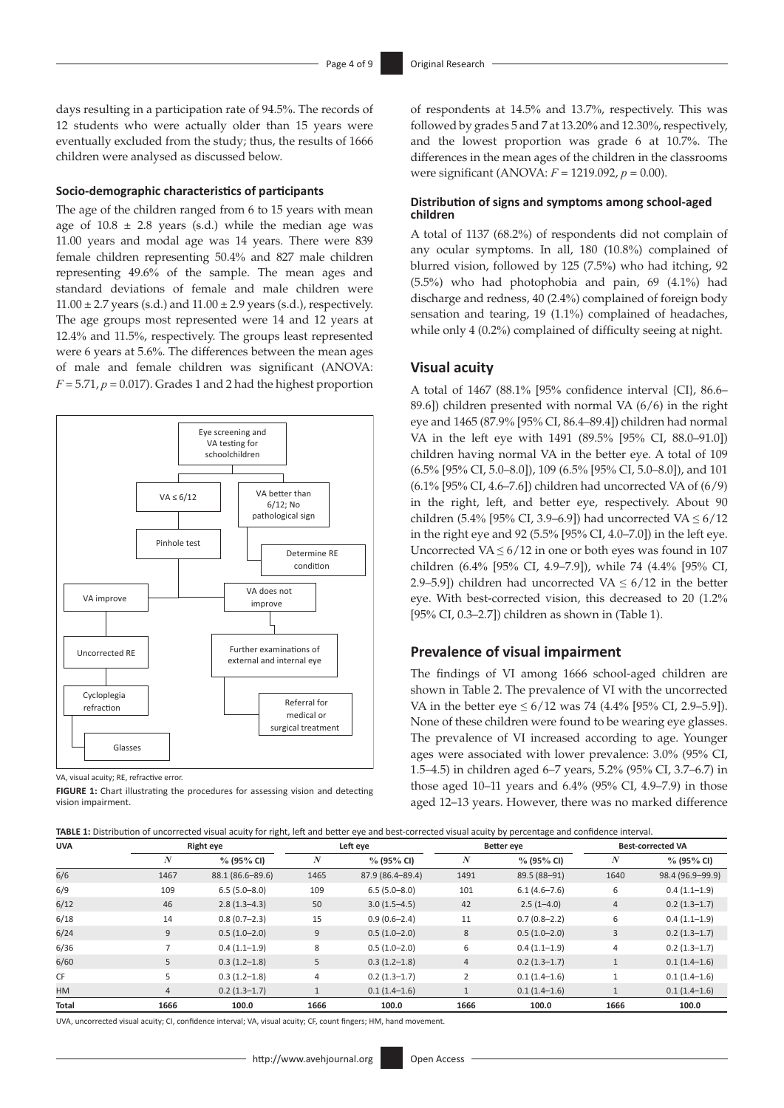days resulting in a participation rate of 94.5%. The records of 12 students who were actually older than 15 years were eventually excluded from the study; thus, the results of 1666 children were analysed as discussed below.

#### **Socio-demographic characteristics of participants**

The age of the children ranged from 6 to 15 years with mean age of  $10.8 \pm 2.8$  years (s.d.) while the median age was 11.00 years and modal age was 14 years. There were 839 female children representing 50.4% and 827 male children representing 49.6% of the sample. The mean ages and standard deviations of female and male children were  $11.00 \pm 2.7$  years (s.d.) and  $11.00 \pm 2.9$  years (s.d.), respectively. The age groups most represented were 14 and 12 years at 12.4% and 11.5%, respectively. The groups least represented were 6 years at 5.6%. The differences between the mean ages of male and female children was significant (ANOVA:  $F = 5.71$ ,  $p = 0.017$ ). Grades 1 and 2 had the highest proportion



VA, visual acuity; RE, refractive error.

**FIGURE 1:** Chart illustrating the procedures for assessing vision and detecting vision impairment.

of respondents at 14.5% and 13.7%, respectively. This was followed by grades 5 and 7 at 13.20% and 12.30%, respectively, and the lowest proportion was grade 6 at 10.7%. The differences in the mean ages of the children in the classrooms were significant (ANOVA: *F* = 1219.092, *p* = 0.00).

#### **Distribution of signs and symptoms among school-aged children**

A total of 1137 (68.2%) of respondents did not complain of any ocular symptoms. In all, 180 (10.8%) complained of blurred vision, followed by 125 (7.5%) who had itching, 92 (5.5%) who had photophobia and pain, 69 (4.1%) had discharge and redness, 40 (2.4%) complained of foreign body sensation and tearing, 19 (1.1%) complained of headaches, while only 4 (0.2%) complained of difficulty seeing at night.

# **Visual acuity**

A total of 1467 (88.1% [95% confidence interval {CI}, 86.6– 89.6]) children presented with normal VA (6/6) in the right eye and 1465 (87.9% [95% CI, 86.4–89.4]) children had normal VA in the left eye with 1491 (89.5% [95% CI, 88.0–91.0]) children having normal VA in the better eye. A total of 109 (6.5% [95% CI, 5.0–8.0]), 109 (6.5% [95% CI, 5.0–8.0]), and 101 (6.1% [95% CI, 4.6–7.6]) children had uncorrected VA of (6/9) in the right, left, and better eye, respectively. About 90 children (5.4% [95% CI, 3.9–6.9]) had uncorrected VA  $\leq 6/12$ in the right eye and 92 (5.5% [95% CI, 4.0–7.0]) in the left eye. Uncorrected VA  $\leq 6/12$  in one or both eyes was found in 107 children (6.4% [95% CI, 4.9–7.9]), while 74 (4.4% [95% CI, 2.9–5.9]) children had uncorrected VA  $\leq 6/12$  in the better eye. With best-corrected vision, this decreased to 20 (1.2% [95% CI, 0.3–2.7]) children as shown in (Table 1).

#### **Prevalence of visual impairment**

The findings of VI among 1666 school-aged children are shown in Table 2. The prevalence of VI with the uncorrected VA in the better eye  $\leq 6/12$  was 74 (4.4% [95% CI, 2.9–5.9]). None of these children were found to be wearing eye glasses. The prevalence of VI increased according to age. Younger ages were associated with lower prevalence: 3.0% (95% CI, 1.5–4.5) in children aged 6–7 years, 5.2% (95% CI, 3.7–6.7) in those aged 10–11 years and 6.4% (95% CI, 4.9–7.9) in those aged 12–13 years. However, there was no marked difference

|              |                  |                  |      | TABLE 1: Distribution of uncorrected visual acuity for right, left and better eye and best-corrected visual acuity by percentage and confidence interval. |                |                  |                |                          |  |
|--------------|------------------|------------------|------|-----------------------------------------------------------------------------------------------------------------------------------------------------------|----------------|------------------|----------------|--------------------------|--|
| <b>UVA</b>   |                  | Right eye        |      | Left eye                                                                                                                                                  |                | Better eye       |                | <b>Best-corrected VA</b> |  |
|              | $\boldsymbol{N}$ | $% (95\% CI)$    | N    | $\%$ (95% CI)                                                                                                                                             | N              | $\%$ (95% CI)    | N              | % (95% CI)               |  |
| 6/6          | 1467             | 88.1 (86.6-89.6) | 1465 | 87.9 (86.4-89.4)                                                                                                                                          | 1491           | 89.5 (88-91)     | 1640           | 98.4 (96.9-99.9)         |  |
| 6/9          | 109              | $6.5(5.0 - 8.0)$ | 109  | $6.5(5.0 - 8.0)$                                                                                                                                          | 101            | $6.1(4.6 - 7.6)$ | 6              | $0.4(1.1-1.9)$           |  |
| 6/12         | 46               | $2.8(1.3 - 4.3)$ | 50   | $3.0(1.5-4.5)$                                                                                                                                            | 42             | $2.5(1 - 4.0)$   | $\overline{4}$ | $0.2(1.3-1.7)$           |  |
| 6/18         | 14               | $0.8(0.7-2.3)$   | 15   | $0.9(0.6-2.4)$                                                                                                                                            | 11             | $0.7(0.8 - 2.2)$ | 6              | $0.4(1.1-1.9)$           |  |
| 6/24         | 9                | $0.5(1.0-2.0)$   | 9    | $0.5(1.0-2.0)$                                                                                                                                            | 8              | $0.5(1.0-2.0)$   | 3              | $0.2(1.3-1.7)$           |  |
| 6/36         | 7                | $0.4(1.1-1.9)$   | 8    | $0.5(1.0-2.0)$                                                                                                                                            | 6              | $0.4(1.1-1.9)$   | $\overline{4}$ | $0.2(1.3-1.7)$           |  |
| 6/60         | 5                | $0.3(1.2-1.8)$   | 5    | $0.3(1.2-1.8)$                                                                                                                                            | $\overline{4}$ | $0.2(1.3-1.7)$   | $\mathbf{1}$   | $0.1(1.4-1.6)$           |  |
| <b>CF</b>    | 5                | $0.3(1.2-1.8)$   | 4    | $0.2(1.3-1.7)$                                                                                                                                            | 2              | $0.1(1.4-1.6)$   |                | $0.1(1.4-1.6)$           |  |
| HM           | $\overline{4}$   | $0.2(1.3-1.7)$   |      | $0.1(1.4-1.6)$                                                                                                                                            |                | $0.1(1.4-1.6)$   |                | $0.1(1.4-1.6)$           |  |
| <b>Total</b> | 1666             | 100.0            | 1666 | 100.0                                                                                                                                                     | 1666           | 100.0            | 1666           | 100.0                    |  |

UVA, uncorrected visual acuity; CI, confidence interval; VA, visual acuity; CF, count fingers; HM, hand movement.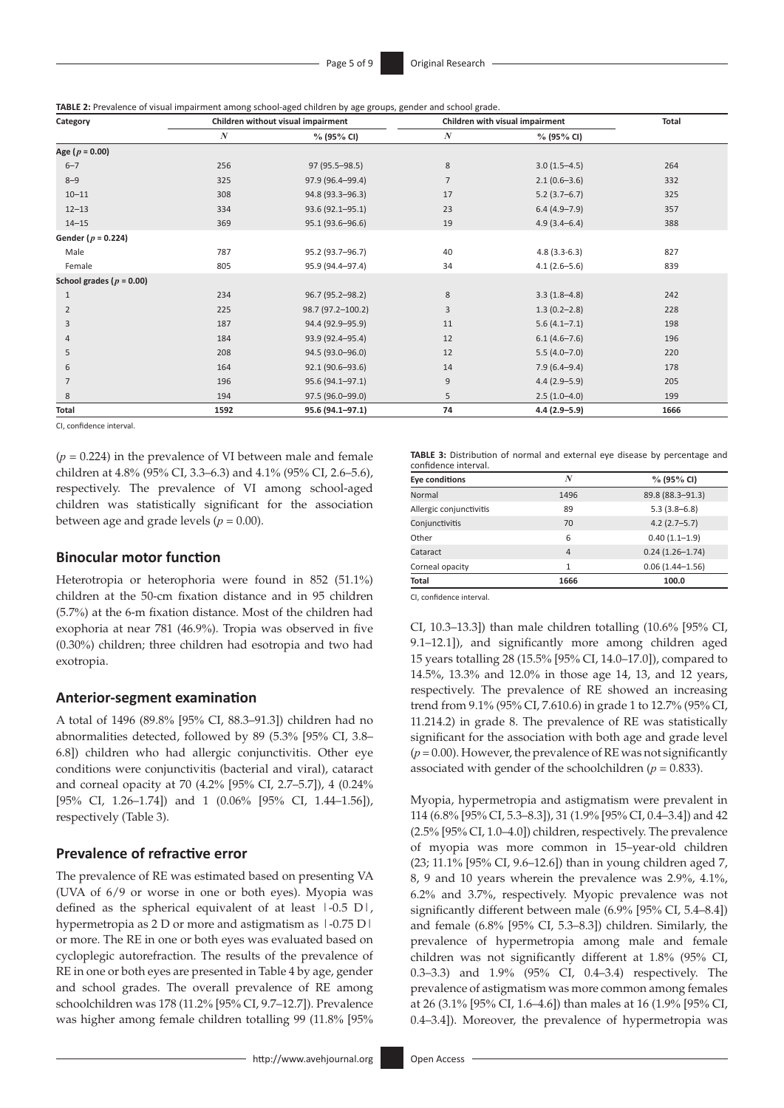| TABLE 2: Prevalence of visual impairment among school-aged children by age groups, gender and school grade. |  |  |  |  |  |
|-------------------------------------------------------------------------------------------------------------|--|--|--|--|--|
|-------------------------------------------------------------------------------------------------------------|--|--|--|--|--|

| Category                     |                  | Children without visual impairment | Children with visual impairment | Total            |      |
|------------------------------|------------------|------------------------------------|---------------------------------|------------------|------|
|                              | $\boldsymbol{N}$ | $\%$ (95% CI)                      | $\boldsymbol{N}$                | $\%$ (95% CI)    |      |
| Age ( $p = 0.00$ )           |                  |                                    |                                 |                  |      |
| $6 - 7$                      | 256              | 97 (95.5-98.5)                     | 8                               | $3.0(1.5-4.5)$   | 264  |
| $8 - 9$                      | 325              | 97.9 (96.4-99.4)                   | $\overline{7}$                  | $2.1(0.6-3.6)$   | 332  |
| $10 - 11$                    | 308              | 94.8 (93.3-96.3)                   | 17                              | $5.2(3.7-6.7)$   | 325  |
| $12 - 13$                    | 334              | 93.6 (92.1-95.1)                   | 23                              | $6.4(4.9 - 7.9)$ | 357  |
| $14 - 15$                    | 369              | 95.1 (93.6-96.6)                   | 19                              | $4.9(3.4 - 6.4)$ | 388  |
| Gender ( $p = 0.224$ )       |                  |                                    |                                 |                  |      |
| Male                         | 787              | 95.2 (93.7-96.7)                   | 40                              | $4.8(3.3-6.3)$   | 827  |
| Female                       | 805              | 95.9 (94.4-97.4)                   | 34                              | $4.1(2.6 - 5.6)$ | 839  |
| School grades ( $p = 0.00$ ) |                  |                                    |                                 |                  |      |
| 1                            | 234              | 96.7 (95.2-98.2)                   | 8                               | $3.3(1.8-4.8)$   | 242  |
| $\overline{2}$               | 225              | 98.7 (97.2-100.2)                  | 3                               | $1.3(0.2 - 2.8)$ | 228  |
| 3                            | 187              | 94.4 (92.9-95.9)                   | 11                              | $5.6(4.1 - 7.1)$ | 198  |
| 4                            | 184              | 93.9 (92.4-95.4)                   | 12                              | $6.1(4.6 - 7.6)$ | 196  |
| 5                            | 208              | 94.5 (93.0-96.0)                   | 12                              | $5.5(4.0 - 7.0)$ | 220  |
| 6                            | 164              | 92.1 (90.6-93.6)                   | 14                              | $7.9(6.4 - 9.4)$ | 178  |
| $\overline{7}$               | 196              | 95.6 (94.1-97.1)                   | 9                               | $4.4(2.9 - 5.9)$ | 205  |
| 8                            | 194              | 97.5 (96.0-99.0)                   | 5                               | $2.5(1.0-4.0)$   | 199  |
| Total                        | 1592             | 95.6 (94.1-97.1)                   | 74                              | $4.4(2.9 - 5.9)$ | 1666 |

CI, confidence interval.

 $(p = 0.224)$  in the prevalence of VI between male and female children at 4.8% (95% CI, 3.3–6.3) and 4.1% (95% CI, 2.6–5.6), respectively. The prevalence of VI among school-aged children was statistically significant for the association between age and grade levels ( $p = 0.00$ ).

### **Binocular motor function**

Heterotropia or heterophoria were found in 852 (51.1%) children at the 50-cm fixation distance and in 95 children (5.7%) at the 6-m fixation distance. Most of the children had exophoria at near 781 (46.9%). Tropia was observed in five (0.30%) children; three children had esotropia and two had exotropia.

# **Anterior-segment examination**

A total of 1496 (89.8% [95% CI, 88.3–91.3]) children had no abnormalities detected, followed by 89 (5.3% [95% CI, 3.8– 6.8]) children who had allergic conjunctivitis. Other eye conditions were conjunctivitis (bacterial and viral), cataract and corneal opacity at 70 (4.2% [95% CI, 2.7–5.7]), 4 (0.24% [95% CI, 1.26–1.74]) and 1 (0.06% [95% CI, 1.44–1.56]), respectively (Table 3).

### **Prevalence of refractive error**

The prevalence of RE was estimated based on presenting VA (UVA of 6/9 or worse in one or both eyes). Myopia was defined as the spherical equivalent of at least |-0.5 D|, hypermetropia as 2 D or more and astigmatism as  $1-0.75$  D  $\mid$ or more. The RE in one or both eyes was evaluated based on cycloplegic autorefraction. The results of the prevalence of RE in one or both eyes are presented in Table 4 by age, gender and school grades. The overall prevalence of RE among schoolchildren was 178 (11.2% [95% CI, 9.7–12.7]). Prevalence was higher among female children totalling 99 (11.8% [95%

**TABLE 3:** Distribution of normal and external eye disease by percentage and confidence interval.

| <b>Eye conditions</b>   | N              | $\%$ (95% CI)       |
|-------------------------|----------------|---------------------|
| Normal                  | 1496           | 89.8 (88.3-91.3)    |
| Allergic conjunctivitis | 89             | $5.3(3.8-6.8)$      |
| Conjunctivitis          | 70             | $4.2(2.7-5.7)$      |
| Other                   | 6              | $0.40(1.1-1.9)$     |
| Cataract                | $\overline{4}$ | $0.24(1.26 - 1.74)$ |
| Corneal opacity         | 1              | $0.06(1.44 - 1.56)$ |
| Total                   | 1666           | 100.0               |

CI, confidence interval.

CI, 10.3–13.3]) than male children totalling (10.6% [95% CI, 9.1–12.1]), and significantly more among children aged 15 years totalling 28 (15.5% [95% CI, 14.0–17.0]), compared to 14.5%, 13.3% and 12.0% in those age 14, 13, and 12 years, respectively. The prevalence of RE showed an increasing trend from 9.1% (95% CI, 7.610.6) in grade 1 to 12.7% (95% CI, 11.214.2) in grade 8. The prevalence of RE was statistically significant for the association with both age and grade level  $(p = 0.00)$ . However, the prevalence of RE was not significantly associated with gender of the schoolchildren  $(p = 0.833)$ .

Myopia, hypermetropia and astigmatism were prevalent in 114 (6.8% [95% CI, 5.3–8.3]), 31 (1.9% [95% CI, 0.4–3.4]) and 42 (2.5% [95% CI, 1.0–4.0]) children, respectively. The prevalence of myopia was more common in 15–year-old children (23; 11.1% [95% CI, 9.6–12.6]) than in young children aged 7, 8, 9 and 10 years wherein the prevalence was 2.9%, 4.1%, 6.2% and 3.7%, respectively. Myopic prevalence was not significantly different between male (6.9% [95% CI, 5.4–8.4]) and female (6.8% [95% CI, 5.3–8.3]) children. Similarly, the prevalence of hypermetropia among male and female children was not significantly different at 1.8% (95% CI, 0.3–3.3) and 1.9% (95% CI, 0.4–3.4) respectively. The prevalence of astigmatism was more common among females at 26 (3.1% [95% CI, 1.6–4.6]) than males at 16 (1.9% [95% CI, 0.4–3.4]). Moreover, the prevalence of hypermetropia was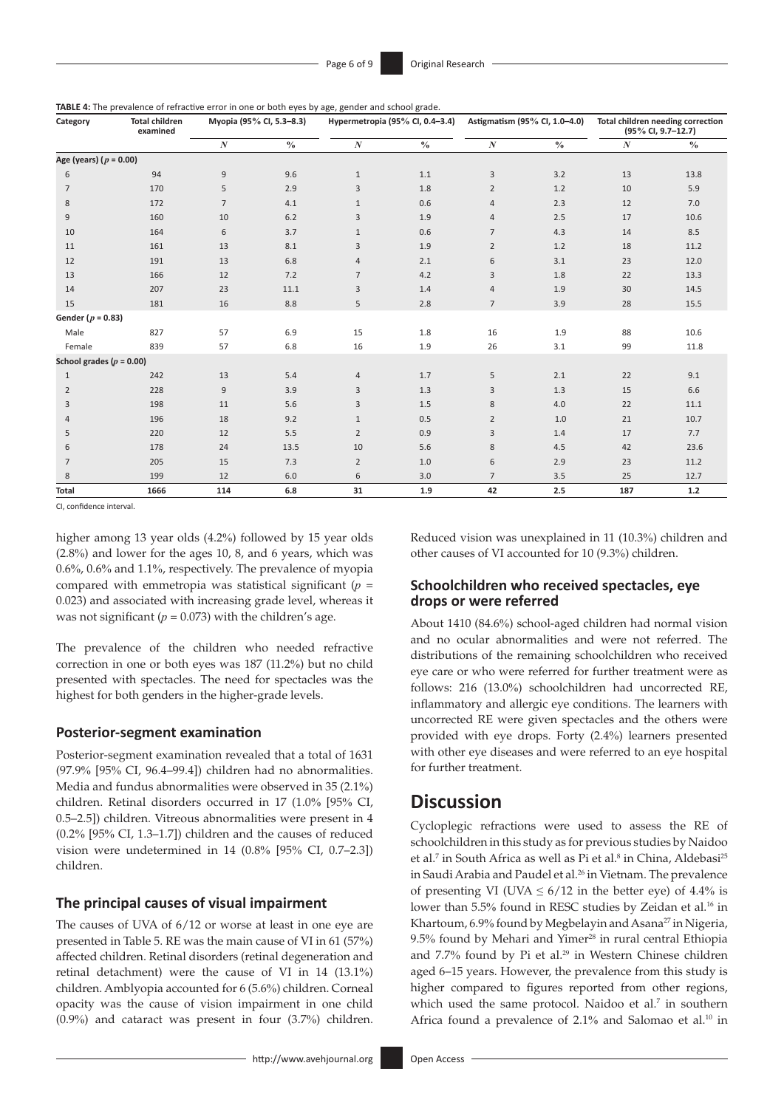**TABLE 4:** The prevalence of refractive error in one or both eyes by age, gender and school grade.

| Category                   | <b>Total children</b><br>examined |                | Myopia (95% CI, 5.3-8.3) | Hypermetropia (95% CI, 0.4-3.4) |               | Astigmatism (95% CI, 1.0-4.0) |               | Total children needing correction<br>$(95\%$ CI, 9.7-12.7) |       |
|----------------------------|-----------------------------------|----------------|--------------------------|---------------------------------|---------------|-------------------------------|---------------|------------------------------------------------------------|-------|
|                            |                                   | $\cal N$       | $\frac{0}{0}$            | $\boldsymbol{N}$                | $\frac{0}{0}$ | $\boldsymbol{N}$              | $\frac{0}{0}$ | $\boldsymbol{N}$                                           | $\%$  |
| Age (years) ( $p = 0.00$ ) |                                   |                |                          |                                 |               |                               |               |                                                            |       |
| 6                          | 94                                | 9              | 9.6                      | $\mathbf{1}$                    | 1.1           | 3                             | 3.2           | 13                                                         | 13.8  |
| $\overline{7}$             | 170                               | 5              | 2.9                      | 3                               | 1.8           | $\overline{2}$                | 1.2           | 10                                                         | 5.9   |
| 8                          | 172                               | $\overline{7}$ | 4.1                      | $\mathbf{1}$                    | 0.6           | $\overline{4}$                | 2.3           | 12                                                         | 7.0   |
| 9                          | 160                               | 10             | $6.2$                    | 3                               | 1.9           | 4                             | 2.5           | 17                                                         | 10.6  |
| 10                         | 164                               | 6              | 3.7                      | $\mathbf{1}$                    | 0.6           | $\overline{7}$                | 4.3           | 14                                                         | 8.5   |
| 11                         | 161                               | 13             | 8.1                      | 3                               | 1.9           | $\overline{2}$                | 1.2           | 18                                                         | 11.2  |
| 12                         | 191                               | 13             | 6.8                      | $\overline{4}$                  | 2.1           | 6                             | 3.1           | 23                                                         | 12.0  |
| 13                         | 166                               | 12             | 7.2                      | 7                               | 4.2           | 3                             | 1.8           | 22                                                         | 13.3  |
| 14                         | 207                               | 23             | 11.1                     | 3                               | 1.4           | $\overline{4}$                | 1.9           | 30                                                         | 14.5  |
| 15                         | 181                               | 16             | 8.8                      | 5                               | 2.8           | $\overline{7}$                | 3.9           | 28                                                         | 15.5  |
| Gender ( $p = 0.83$ )      |                                   |                |                          |                                 |               |                               |               |                                                            |       |
| Male                       | 827                               | 57             | 6.9                      | 15                              | 1.8           | 16                            | 1.9           | 88                                                         | 10.6  |
| Female                     | 839                               | 57             | 6.8                      | 16                              | 1.9           | 26                            | 3.1           | 99                                                         | 11.8  |
| School grades $(p = 0.00)$ |                                   |                |                          |                                 |               |                               |               |                                                            |       |
| $\mathbf{1}$               | 242                               | 13             | 5.4                      | 4                               | 1.7           | 5                             | 2.1           | 22                                                         | 9.1   |
| $\overline{2}$             | 228                               | $\mathsf 9$    | 3.9                      | 3                               | 1.3           | 3                             | 1.3           | 15                                                         | 6.6   |
| 3                          | 198                               | 11             | 5.6                      | 3                               | 1.5           | 8                             | 4.0           | 22                                                         | 11.1  |
| $\overline{4}$             | 196                               | 18             | 9.2                      | $\mathbf{1}$                    | 0.5           | $\overline{2}$                | 1.0           | 21                                                         | 10.7  |
| 5                          | 220                               | 12             | 5.5                      | $\overline{2}$                  | 0.9           | 3                             | 1.4           | 17                                                         | 7.7   |
| 6                          | 178                               | 24             | 13.5                     | 10                              | 5.6           | 8                             | 4.5           | 42                                                         | 23.6  |
| 7                          | 205                               | 15             | 7.3                      | $\overline{2}$                  | 1.0           | 6                             | 2.9           | 23                                                         | 11.2  |
| 8                          | 199                               | 12             | 6.0                      | 6                               | 3.0           | $\overline{7}$                | 3.5           | 25                                                         | 12.7  |
| <b>Total</b>               | 1666                              | 114            | 6.8                      | 31                              | 1.9           | 42                            | 2.5           | 187                                                        | $1.2$ |

CI, confidence interval.

higher among 13 year olds (4.2%) followed by 15 year olds (2.8%) and lower for the ages 10, 8, and 6 years, which was 0.6%, 0.6% and 1.1%, respectively. The prevalence of myopia compared with emmetropia was statistical significant (*p* = 0.023) and associated with increasing grade level, whereas it was not significant ( $p = 0.073$ ) with the children's age.

The prevalence of the children who needed refractive correction in one or both eyes was 187 (11.2%) but no child presented with spectacles. The need for spectacles was the highest for both genders in the higher-grade levels.

# **Posterior-segment examination**

Posterior-segment examination revealed that a total of 1631 (97.9% [95% CI, 96.4–99.4]) children had no abnormalities. Media and fundus abnormalities were observed in 35 (2.1%) children. Retinal disorders occurred in 17 (1.0% [95% CI, 0.5–2.5]) children. Vitreous abnormalities were present in 4 (0.2% [95% CI, 1.3–1.7]) children and the causes of reduced vision were undetermined in 14 (0.8% [95% CI, 0.7–2.3]) children.

### **The principal causes of visual impairment**

The causes of UVA of 6/12 or worse at least in one eye are presented in Table 5. RE was the main cause of VI in 61 (57%) affected children. Retinal disorders (retinal degeneration and retinal detachment) were the cause of VI in 14 (13.1%) children. Amblyopia accounted for 6 (5.6%) children. Corneal opacity was the cause of vision impairment in one child (0.9%) and cataract was present in four (3.7%) children.

Reduced vision was unexplained in 11 (10.3%) children and other causes of VI accounted for 10 (9.3%) children.

# **Schoolchildren who received spectacles, eye drops or were referred**

About 1410 (84.6%) school-aged children had normal vision and no ocular abnormalities and were not referred. The distributions of the remaining schoolchildren who received eye care or who were referred for further treatment were as follows: 216 (13.0%) schoolchildren had uncorrected RE, inflammatory and allergic eye conditions. The learners with uncorrected RE were given spectacles and the others were provided with eye drops. Forty (2.4%) learners presented with other eye diseases and were referred to an eye hospital for further treatment.

# **Discussion**

Cycloplegic refractions were used to assess the RE of schoolchildren in this study as for previous studies by Naidoo et al.<sup>7</sup> in South Africa as well as Pi et al.<sup>8</sup> in China, Aldebasi<sup>25</sup> in Saudi Arabia and Paudel et al.<sup>26</sup> in Vietnam. The prevalence of presenting VI (UVA  $\leq 6/12$  in the better eye) of 4.4% is lower than 5.5% found in RESC studies by Zeidan et al.<sup>16</sup> in Khartoum, 6.9% found by Megbelayin and Asana<sup>27</sup> in Nigeria, 9.5% found by Mehari and Yimer<sup>28</sup> in rural central Ethiopia and 7.7% found by Pi et al.<sup>29</sup> in Western Chinese children aged 6–15 years. However, the prevalence from this study is higher compared to figures reported from other regions, which used the same protocol. Naidoo et al.<sup>7</sup> in southern Africa found a prevalence of 2.1% and Salomao et al.<sup>10</sup> in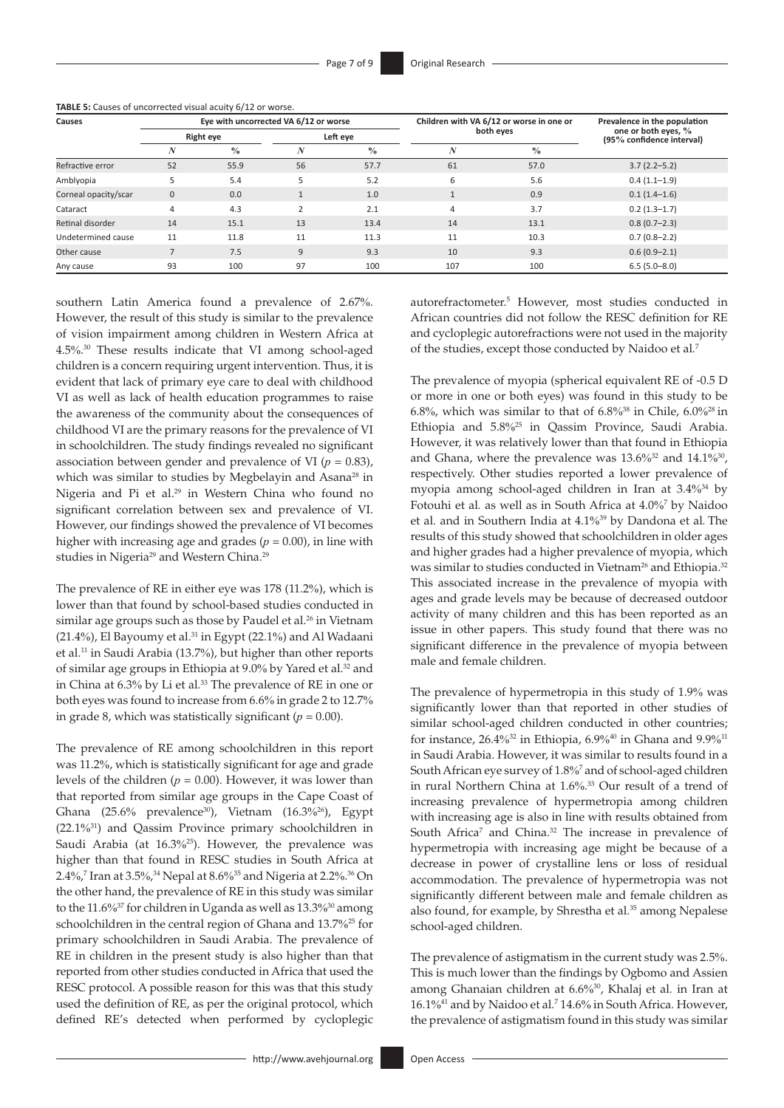| TABLE 5: Causes of uncorrected visual acuity 6/12 or worse. |  |  |
|-------------------------------------------------------------|--|--|
|                                                             |  |  |

| Causes               | Eye with uncorrected VA 6/12 or worse |               |                |               |           | Children with VA 6/12 or worse in one or | Prevalence in the population<br>one or both eyes, %<br>(95% confidence interval) |  |
|----------------------|---------------------------------------|---------------|----------------|---------------|-----------|------------------------------------------|----------------------------------------------------------------------------------|--|
|                      | <b>Right eye</b>                      |               | Left eye       |               | both eyes |                                          |                                                                                  |  |
|                      |                                       | $\frac{0}{0}$ |                | $\frac{0}{0}$ | N         | $\frac{0}{0}$                            |                                                                                  |  |
| Refractive error     | 52                                    | 55.9          | 56             | 57.7          | 61        | 57.0                                     | $3.7(2.2 - 5.2)$                                                                 |  |
| Amblyopia            |                                       | 5.4           |                | 5.2           | 6         | 5.6                                      | $0.4(1.1-1.9)$                                                                   |  |
| Corneal opacity/scar | $\mathbf{0}$                          | 0.0           |                | 1.0           |           | 0.9                                      | $0.1(1.4-1.6)$                                                                   |  |
| Cataract             | 4                                     | 4.3           | $\overline{2}$ | 2.1           | 4         | 3.7                                      | $0.2(1.3-1.7)$                                                                   |  |
| Retinal disorder     | 14                                    | 15.1          | 13             | 13.4          | 14        | 13.1                                     | $0.8(0.7-2.3)$                                                                   |  |
| Undetermined cause   | 11                                    | 11.8          | 11             | 11.3          | 11        | 10.3                                     | $0.7(0.8 - 2.2)$                                                                 |  |
| Other cause          |                                       | 7.5           | 9              | 9.3           | 10        | 9.3                                      | $0.6(0.9 - 2.1)$                                                                 |  |
| Any cause            | 93                                    | 100           | 97             | 100           | 107       | 100                                      | $6.5(5.0 - 8.0)$                                                                 |  |

southern Latin America found a prevalence of 2.67%. However, the result of this study is similar to the prevalence of vision impairment among children in Western Africa at 4.5%. 30 These results indicate that VI among school-aged children is a concern requiring urgent intervention. Thus, it is evident that lack of primary eye care to deal with childhood VI as well as lack of health education programmes to raise the awareness of the community about the consequences of childhood VI are the primary reasons for the prevalence of VI in schoolchildren. The study findings revealed no significant association between gender and prevalence of VI ( $p = 0.83$ ), which was similar to studies by Megbelayin and Asana<sup>28</sup> in Nigeria and Pi et al.<sup>29</sup> in Western China who found no significant correlation between sex and prevalence of VI. However, our findings showed the prevalence of VI becomes higher with increasing age and grades ( $p = 0.00$ ), in line with studies in Nigeria<sup>29</sup> and Western China.<sup>29</sup>

The prevalence of RE in either eye was 178 (11.2%), which is lower than that found by school-based studies conducted in similar age groups such as those by Paudel et al.<sup>26</sup> in Vietnam (21.4%), El Bayoumy et al.31 in Egypt (22.1%) and Al Wadaani et al.<sup>11</sup> in Saudi Arabia (13.7%), but higher than other reports of similar age groups in Ethiopia at 9.0% by Yared et al.<sup>32</sup> and in China at 6.3% by Li et al*.* 33 The prevalence of RE in one or both eyes was found to increase from 6.6% in grade 2 to 12.7% in grade 8, which was statistically significant  $(p = 0.00)$ .

The prevalence of RE among schoolchildren in this report was 11.2%, which is statistically significant for age and grade levels of the children  $(p = 0.00)$ . However, it was lower than that reported from similar age groups in the Cape Coast of Ghana (25.6% prevalence<sup>30</sup>), Vietnam (16.3%<sup>26</sup>), Egypt (22.1%31) and Qassim Province primary schoolchildren in Saudi Arabia (at 16.3%<sup>25</sup>). However, the prevalence was higher than that found in RESC studies in South Africa at 2.4%, 7 Iran at 3.5%, 34 Nepal at 8.6%35 and Nigeria at 2.2%. 36 On the other hand, the prevalence of RE in this study was similar to the 11.6%<sup>37</sup> for children in Uganda as well as 13.3%<sup>30</sup> among schoolchildren in the central region of Ghana and 13.7%25 for primary schoolchildren in Saudi Arabia. The prevalence of RE in children in the present study is also higher than that reported from other studies conducted in Africa that used the RESC protocol. A possible reason for this was that this study used the definition of RE, as per the original protocol, which defined RE's detected when performed by cycloplegic

autorefractometer.5 However, most studies conducted in African countries did not follow the RESC definition for RE and cycloplegic autorefractions were not used in the majority of the studies, except those conducted by Naidoo et al*.* 7

The prevalence of myopia (spherical equivalent RE of -0.5 D or more in one or both eyes) was found in this study to be 6.8%, which was similar to that of  $6.8\%$ <sup>38</sup> in Chile,  $6.0\%$ <sup>28</sup> in Ethiopia and 5.8%<sup>25</sup> in Qassim Province, Saudi Arabia. However, it was relatively lower than that found in Ethiopia and Ghana, where the prevalence was  $13.6\%^{32}$  and  $14.1\%^{30}$ , respectively. Other studies reported a lower prevalence of myopia among school-aged children in Iran at 3.4%34 by Fotouhi et al*.* as well as in South Africa at 4.0%<sup>7</sup> by Naidoo et al*.* and in Southern India at 4.1%39 by Dandona et al*.* The results of this study showed that schoolchildren in older ages and higher grades had a higher prevalence of myopia, which was similar to studies conducted in Vietnam<sup>26</sup> and Ethiopia.<sup>32</sup> This associated increase in the prevalence of myopia with ages and grade levels may be because of decreased outdoor activity of many children and this has been reported as an issue in other papers. This study found that there was no significant difference in the prevalence of myopia between male and female children.

The prevalence of hypermetropia in this study of 1.9% was significantly lower than that reported in other studies of similar school-aged children conducted in other countries; for instance,  $26.4\%^{32}$  in Ethiopia,  $6.9\%^{40}$  in Ghana and  $9.9\%^{11}$ in Saudi Arabia. However, it was similar to results found in a South African eye survey of 1.8%<sup>7</sup> and of school-aged children in rural Northern China at 1.6%. 33 Our result of a trend of increasing prevalence of hypermetropia among children with increasing age is also in line with results obtained from South Africa<sup>7</sup> and China.<sup>32</sup> The increase in prevalence of hypermetropia with increasing age might be because of a decrease in power of crystalline lens or loss of residual accommodation. The prevalence of hypermetropia was not significantly different between male and female children as also found, for example, by Shrestha et al*.* 35 among Nepalese school-aged children.

The prevalence of astigmatism in the current study was 2.5%. This is much lower than the findings by Ogbomo and Assien among Ghanaian children at 6.6%30, Khalaj et al*.* in Iran at 16.1%41 and by Naidoo et al*.* 7 14.6% in South Africa*.* However, the prevalence of astigmatism found in this study was similar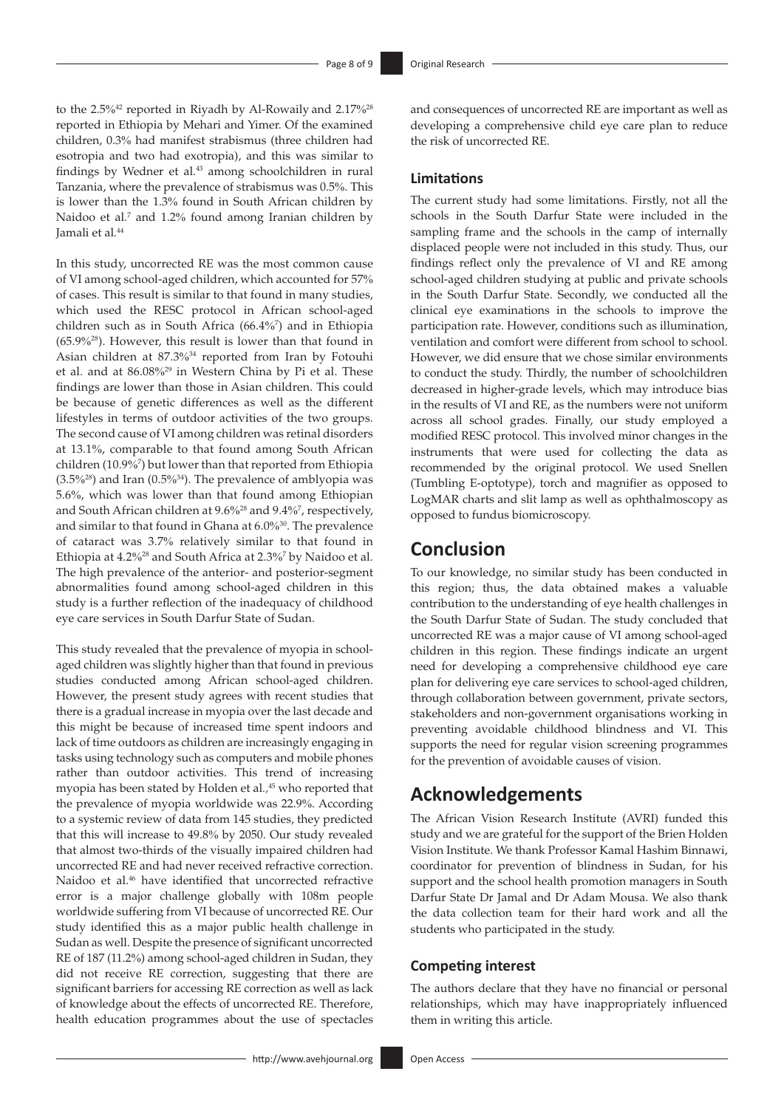to the 2.5%<sup>42</sup> reported in Riyadh by Al-Rowaily and 2.17%<sup>28</sup> reported in Ethiopia by Mehari and Yimer. Of the examined children, 0.3% had manifest strabismus (three children had esotropia and two had exotropia), and this was similar to findings by Wedner et al*.* 43 among schoolchildren in rural Tanzania, where the prevalence of strabismus was 0.5%. This is lower than the 1.3% found in South African children by Naidoo et al.<sup>7</sup> and 1.2% found among Iranian children by Jamali et al*.* 44

In this study, uncorrected RE was the most common cause of VI among school-aged children, which accounted for 57% of cases. This result is similar to that found in many studies, which used the RESC protocol in African school-aged children such as in South Africa (66.4%<sup>7</sup> ) and in Ethiopia (65.9%28). However, this result is lower than that found in Asian children at 87.3%34 reported from Iran by Fotouhi et al*.* and at 86.08%29 in Western China by Pi et al. These findings are lower than those in Asian children. This could be because of genetic differences as well as the different lifestyles in terms of outdoor activities of the two groups. The second cause of VI among children was retinal disorders at 13.1%, comparable to that found among South African children (10.9%<sup>7</sup> ) but lower than that reported from Ethiopia  $(3.5\%)$  and Iran  $(0.5\%)$ <sup>34</sup>). The prevalence of amblyopia was 5.6%, which was lower than that found among Ethiopian and South African children at 9.6%28 and 9.4%<sup>7</sup> , respectively, and similar to that found in Ghana at 6.0%30. The prevalence of cataract was 3.7% relatively similar to that found in Ethiopia at 4.2%28 and South Africa at 2.3%<sup>7</sup> by Naidoo et al*.* The high prevalence of the anterior- and posterior-segment abnormalities found among school-aged children in this study is a further reflection of the inadequacy of childhood eye care services in South Darfur State of Sudan.

This study revealed that the prevalence of myopia in schoolaged children was slightly higher than that found in previous studies conducted among African school-aged children. However, the present study agrees with recent studies that there is a gradual increase in myopia over the last decade and this might be because of increased time spent indoors and lack of time outdoors as children are increasingly engaging in tasks using technology such as computers and mobile phones rather than outdoor activities. This trend of increasing myopia has been stated by Holden et al*.,*45 who reported that the prevalence of myopia worldwide was 22.9%. According to a systemic review of data from 145 studies, they predicted that this will increase to 49.8% by 2050. Our study revealed that almost two-thirds of the visually impaired children had uncorrected RE and had never received refractive correction. Naidoo et al.46 have identified that uncorrected refractive error is a major challenge globally with 108m people worldwide suffering from VI because of uncorrected RE. Our study identified this as a major public health challenge in Sudan as well. Despite the presence of significant uncorrected RE of 187 (11.2%) among school-aged children in Sudan, they did not receive RE correction, suggesting that there are significant barriers for accessing RE correction as well as lack of knowledge about the effects of uncorrected RE. Therefore, health education programmes about the use of spectacles

and consequences of uncorrected RE are important as well as developing a comprehensive child eye care plan to reduce the risk of uncorrected RE.

### **Limitations**

The current study had some limitations. Firstly, not all the schools in the South Darfur State were included in the sampling frame and the schools in the camp of internally displaced people were not included in this study. Thus, our findings reflect only the prevalence of VI and RE among school-aged children studying at public and private schools in the South Darfur State. Secondly, we conducted all the clinical eye examinations in the schools to improve the participation rate. However, conditions such as illumination, ventilation and comfort were different from school to school. However, we did ensure that we chose similar environments to conduct the study. Thirdly, the number of schoolchildren decreased in higher-grade levels, which may introduce bias in the results of VI and RE, as the numbers were not uniform across all school grades. Finally, our study employed a modified RESC protocol. This involved minor changes in the instruments that were used for collecting the data as recommended by the original protocol. We used Snellen (Tumbling E-optotype), torch and magnifier as opposed to LogMAR charts and slit lamp as well as ophthalmoscopy as opposed to fundus biomicroscopy.

# **Conclusion**

To our knowledge, no similar study has been conducted in this region; thus, the data obtained makes a valuable contribution to the understanding of eye health challenges in the South Darfur State of Sudan. The study concluded that uncorrected RE was a major cause of VI among school-aged children in this region. These findings indicate an urgent need for developing a comprehensive childhood eye care plan for delivering eye care services to school-aged children, through collaboration between government, private sectors, stakeholders and non-government organisations working in preventing avoidable childhood blindness and VI. This supports the need for regular vision screening programmes for the prevention of avoidable causes of vision.

# **Acknowledgements**

The African Vision Research Institute (AVRI) funded this study and we are grateful for the support of the Brien Holden Vision Institute. We thank Professor Kamal Hashim Binnawi, coordinator for prevention of blindness in Sudan, for his support and the school health promotion managers in South Darfur State Dr Jamal and Dr Adam Mousa. We also thank the data collection team for their hard work and all the students who participated in the study.

# **Competing interest**

The authors declare that they have no financial or personal relationships, which may have inappropriately influenced them in writing this article.